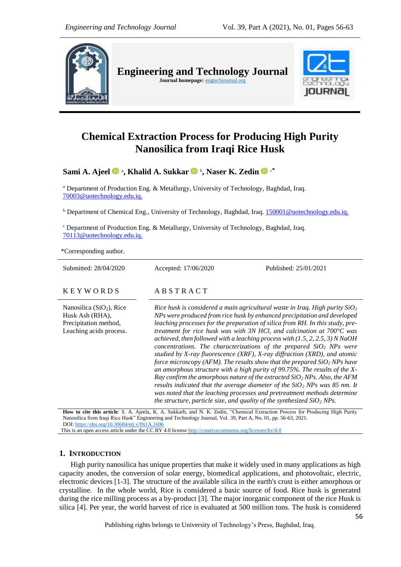

**Engineering and Technology Journal**  Journal homepage: **engtechjournal.org** 



# **Chemical Extraction Process for Producing High Purity Nanosilica from Iraqi Rice Husk**

**Sami A. Ajeel <sup>a</sup> , [Khalid A. Sukkar](https://www.facebook.com/Khalid.Sukkar0?__tn__=%2CdC-R-R&eid=ARBdNKI_9xUlzgbL0Yp6AT7V-YKAM2K-iD6Bz9ctGDlkFHR8fHG00yfypMrG174Iawsa0Ytv76fwdKYK&hc_ref=ARQhJ5O7o167iu-4au-TVmouHfYv9sb_80bBd_CB9m3MOKepK23pHhPkP9T-DraNarw&fref=nf) <sup>b</sup> , Naser K. Zedin <sup>c</sup>\***

**<sup>a</sup>** Department of Production Eng. & Metallurgy, University of Technology, Baghdad, Iraq. 70003@uotechnology.edu.iq.

**<sup>b</sup>** Department of Chemical Eng., University of Technology, Baghdad, Iraq. 150001@uotechnology.edu.iq.

**<sup>c</sup>** Department of Production Eng. & Metallurgy, University of Technology, Baghdad, Iraq. 70113@uotechnology.edu.iq.

\*Corresponding author.

| Submitted: 28/04/2020                                                                             | Accepted: 17/06/2020                                                                                                                                                                                                                                                                                                                                                                                                                                                                                                                                                                                                                                                                                                                                                                                                                                                                                                                                                                                                                                       | Published: 25/01/2021 |  |
|---------------------------------------------------------------------------------------------------|------------------------------------------------------------------------------------------------------------------------------------------------------------------------------------------------------------------------------------------------------------------------------------------------------------------------------------------------------------------------------------------------------------------------------------------------------------------------------------------------------------------------------------------------------------------------------------------------------------------------------------------------------------------------------------------------------------------------------------------------------------------------------------------------------------------------------------------------------------------------------------------------------------------------------------------------------------------------------------------------------------------------------------------------------------|-----------------------|--|
| <b>KEYWORDS</b>                                                                                   | ABSTRACT                                                                                                                                                                                                                                                                                                                                                                                                                                                                                                                                                                                                                                                                                                                                                                                                                                                                                                                                                                                                                                                   |                       |  |
| Nanosilica $(SiO2)$ , Rice<br>Husk Ash (RHA),<br>Precipitation method,<br>Leaching acids process. | Rice husk is considered a main agricultural waste in Iraq. High purity $SiO2$<br>NPs were produced from rice husk by enhanced precipitation and developed<br>leaching processes for the preparation of silica from RH. In this study, pre-<br>treatment for rice husk was with 3N HCl, and calcination at $700^{\circ}$ C was<br>achieved, then followed with a leaching process with $(1.5, 2, 2.5, 3)$ N NaOH<br>concentrations. The characterizations of the prepared $SiO2$ NPs were<br>studied by X-ray fluorescence (XRF), X-ray diffraction (XRD), and atomic<br>force microscopy (AFM). The results show that the prepared $SiO2$ NPs have<br>an amorphous structure with a high purity of 99.75%. The results of the $X$ -<br>Ray confirm the amorphous nature of the extracted $SiO2 NPs$ . Also, the AFM<br>results indicated that the average diameter of the $SiO2$ NPs was 85 nm. It<br>was noted that the leaching processes and pretreatment methods determine<br>the structure, particle size, and quality of the synthesized $SiO2$ NPs. |                       |  |

**How to cite this article**: S. A. Ajeela, K. A. Sukkarb, and N. K. Zedin, "Chemical Extraction Process for Producing High Purity Nanosilica from Iraqi Rice Husk" Engineering and Technology Journal, Vol. 39, Part A, No. 01, pp. 56-63, 2021. DOI: <https://doi.org/10.30684/etj.v39i1A.1696>

This is an open access article under the CC BY 4.0 licens[e http://creativecommons.org/licenses/by/4.0](http://creativecommons.org/licenses/by/4.0)

# **1. INTRODUCTION**

High purity nanosilica has unique properties that make it widely used in many applications as high capacity anodes, the conversion of solar energy, biomedical applications, and photovoltaic, electric, electronic devices [1-3]. The structure of the available silica in the earth's crust is either amorphous or crystalline. In the whole world, Rice is considered a basic source of food. Rice husk is generated during the rice milling process as a by-product [3]. The major inorganic component of the rice Husk is silica [4]. Per year, the world harvest of rice is evaluated at 500 million tons. The husk is considered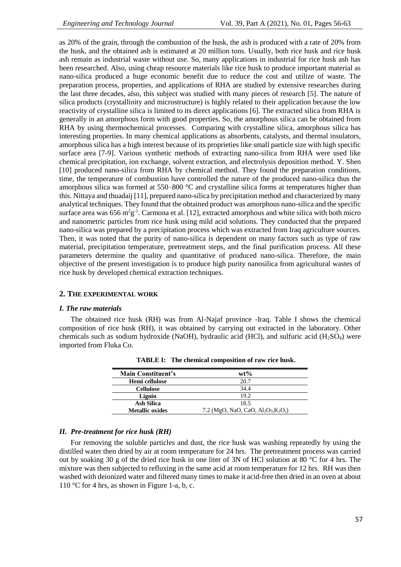as 20% of the grain, through the combustion of the husk, the ash is produced with a rate of 20% from the husk, and the obtained ash is estimated at 20 million tons. Usually, both rice husk and rice husk ash remain as industrial waste without use. So, many applications in industrial for rice husk ash has been researched. Also, using cheap resource materials like rice husk to produce important material as nano-silica produced a huge economic benefit due to reduce the cost and utilize of waste. The preparation process, properties, and applications of RHA are studied by extensive researches during the last three decades, also, this subject was studied with many pieces of research [5]. The nature of silica products (crystallinity and microstructure) is highly related to their application because the low reactivity of crystalline silica is limited to its direct applications [6]. The extracted silica from RHA is generally in an amorphous form with good properties. So, the amorphous silica can be obtained from RHA by using thermochemical processes. Comparing with crystalline silica, amorphous silica has interesting properties. In many chemical applications as absorbents, catalysts, and thermal insulators, amorphous silica has a high interest because of its proprieties like small particle size with high specific surface area [7-9]. Various synthetic methods of extracting nano-silica from RHA were used like chemical precipitation, ion exchange, solvent extraction, and electrolysis deposition method. Y. Shen [10] produced nano-silica from RHA by chemical method. They found the preparation conditions, time, the temperature of combustion have controlled the nature of the produced nano-silica thus the amorphous silica was formed at 550–800 °C and crystalline silica forms at temperatures higher than this. Nittaya and thuadaij [11], prepared nano-silica by precipitation method and characterized by many analytical techniques. They found that the obtained product was amorphous nano-silica and the specific surface area was  $656 \text{ m}^2 \text{g}^{-1}$ . Carmona et al. [12], extracted amorphous and white silica with both micro and nanometric particles from rice husk using mild acid solutions. They conducted that the prepared nano-silica was prepared by a precipitation process which was extracted from Iraq agriculture sources. Then, it was noted that the purity of nano-silica is dependent on many factors such as type of raw material, precipitation temperature, pretreatment steps, and the final purification process. All these parameters determine the quality and quantitative of produced nano-silica. Therefore, the main objective of the present investigation is to produce high purity nanosilica from agricultural wastes of rice husk by developed chemical extraction techniques.

## **2. THE EXPERIMENTAL WORK**

## *I. The raw materials*

The obtained rice husk (RH) was from Al-Najaf province -Iraq. Table I shows the chemical composition of rice husk (RH), it was obtained by carrying out extracted in the laboratory. Other chemicals such as sodium hydroxide (NaOH), hydraulic acid (HCl), and sulfuric acid (H<sub>2</sub>SO<sub>4</sub>) were imported from Fluka Co.

| <b>Main Constituent's</b> | $wt\%$                                                                              |  |
|---------------------------|-------------------------------------------------------------------------------------|--|
| Hemi cellulose            | 20.7                                                                                |  |
| <b>Cellulose</b>          | 34.4                                                                                |  |
| Lignin                    | 19.2                                                                                |  |
| Ash Silica                | 18.5                                                                                |  |
| <b>Metallic oxides</b>    | 7.2 (MgO, NaO, CaO, Al <sub>2</sub> O <sub>3</sub> ,K <sub>2</sub> O <sub>3</sub> ) |  |

**TABLE I: The chemical composition of raw rice husk.**

# *II. Pre-treatment for rice husk (RH)*

For removing the soluble particles and dust, the rice husk was washing repeatedly by using the distilled water then dried by air at room temperature for 24 hrs. The pretreatment process was carried out by soaking 30 g of the dried rice husk in one liter of 3N of HCl solution at 80 °C for 4 hrs. The mixture was then subjected to refluxing in the same acid at room temperature for 12 hrs. RH was then washed with deionized water and filtered many times to make it acid-free then dried in an oven at about 110 °C for 4 hrs, as shown in Figure 1-a, b, c.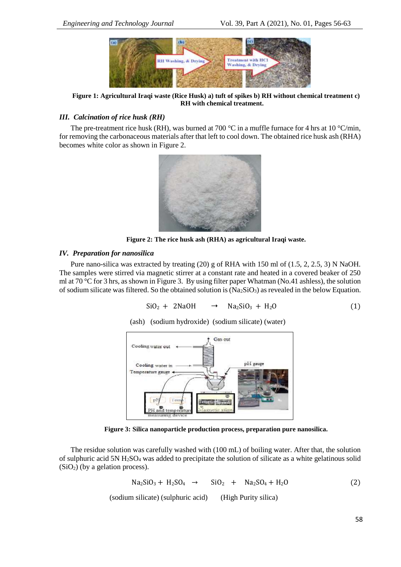

**Figure 1: Agricultural Iraqi waste (Rice Husk) a) tuft of spikes b) RH without chemical treatment c) RH with chemical treatment.**

# *III. Calcination of rice husk (RH)*

The pre-treatment rice husk (RH), was burned at 700 °C in a muffle furnace for 4 hrs at 10 °C/min, for removing the carbonaceous materials after that left to cool down. The obtained rice husk ash (RHA) becomes white color as shown in Figure 2.



**Figure 2: The rice husk ash (RHA) as agricultural Iraqi waste.**

## *IV. Preparation for nanosilica*

Pure nano-silica was extracted by treating (20) g of RHA with 150 ml of (1.5, 2, 2.5, 3) N NaOH. The samples were stirred via magnetic stirrer at a constant rate and heated in a covered beaker of 250 ml at 70 °C for 3 hrs, as shown in Figure 3. By using filter paper Whatman (No.41 ashless), the solution of sodium silicate was filtered. So the obtained solution is  $(Na_2SiO_3)$  as revealed in the below Equation.

$$
SiO2 + 2NaOH \rightarrow Na2SiO3 + H2O
$$
 (1)

(ash) (sodium hydroxide) (sodium silicate) (water)



**Figure 3: Silica nanoparticle production process, preparation pure nanosilica.**

The residue solution was carefully washed with (100 mL) of boiling water. After that, the solution of sulphuric acid 5N  $H_2SO_4$  was added to precipitate the solution of silicate as a white gelatinous solid  $(SiO<sub>2</sub>)$  (by a gelation process).

$$
Na2SiO3 + H2SO4 \rightarrow SiO2 + Na2SO4 + H2O
$$
 (2)

(sodium silicate) (sulphuric acid) (High Purity silica)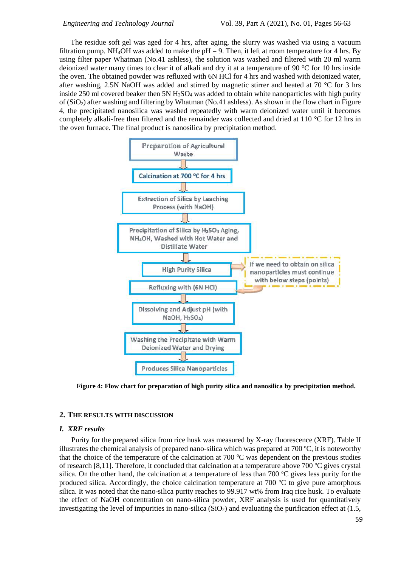The residue soft gel was aged for 4 hrs, after aging, the slurry was washed via using a vacuum filtration pump. NH<sub>4</sub>OH was added to make the  $pH = 9$ . Then, it left at room temperature for 4 hrs. By using filter paper Whatman (No.41 ashless), the solution was washed and filtered with 20 ml warm deionized water many times to clear it of alkali and dry it at a temperature of 90 °C for 10 hrs inside the oven. The obtained powder was refluxed with 6N HCl for 4 hrs and washed with deionized water, after washing, 2.5N NaOH was added and stirred by magnetic stirrer and heated at 70  $^{\circ}$ C for 3 hrs inside 250 ml covered beaker then 5N H<sub>2</sub>SO<sub>4</sub> was added to obtain white nanoparticles with high purity of (SiO2) after washing and filtering by Whatman (No.41 ashless). As shown in the flow chart in Figure 4, the precipitated nanosilica was washed repeatedly with warm deionized water until it becomes completely alkali-free then filtered and the remainder was collected and dried at 110 °C for 12 hrs in the oven furnace. The final product is nanosilica by precipitation method.



**Figure 4: Flow chart for preparation of high purity silica and nanosilica by precipitation method.**

#### **2. THE RESULTS WITH DISCUSSION**

### *I. XRF results*

Purity for the prepared silica from rice husk was measured by X-ray fluorescence (XRF). Table II illustrates the chemical analysis of prepared nano-silica which was prepared at  $700^{\circ}$ C, it is noteworthy that the choice of the temperature of the calcination at 700  $\degree$ C was dependent on the previous studies of research [8,11]. Therefore, it concluded that calcination at a temperature above 700  $\degree$ C gives crystal silica. On the other hand, the calcination at a temperature of less than 700  $^{\circ}$ C gives less purity for the produced silica. Accordingly, the choice calcination temperature at 700  $^{\circ}$ C to give pure amorphous silica. It was noted that the nano-silica purity reaches to 99.917 wt% from Iraq rice husk. To evaluate the effect of NaOH concentration on nano-silica powder, XRF analysis is used for quantitatively investigating the level of impurities in nano-silica  $(SiO<sub>2</sub>)$  and evaluating the purification effect at (1.5,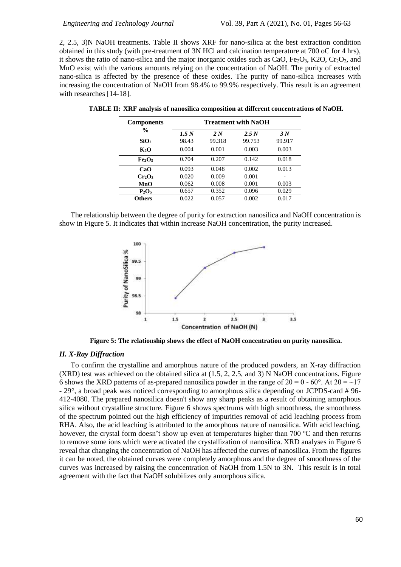2, 2.5, 3)N NaOH treatments. Table II shows XRF for nano-silica at the best extraction condition obtained in this study (with pre-treatment of 3N HCl and calcination temperature at 700 oC for 4 hrs), it shows the ratio of nano-silica and the major inorganic oxides such as CaO,  $Fe<sub>2</sub>O<sub>3</sub>$ , K2O, Cr<sub>2</sub>O<sub>3</sub>, and MnO exist with the various amounts relying on the concentration of NaOH. The purity of extracted nano-silica is affected by the presence of these oxides. The purity of nano-silica increases with increasing the concentration of NaOH from 98.4% to 99.9% respectively. This result is an agreement with researches [14-18].

| <b>Components</b>              | <b>Treatment with NaOH</b> |        |        |        |
|--------------------------------|----------------------------|--------|--------|--------|
| $\frac{6}{9}$                  | 1.5 <sub>N</sub>           | 2N     | 2.5 N  | 3N     |
| SiO <sub>2</sub>               | 98.43                      | 99.318 | 99.753 | 99.917 |
| $K_2O$                         | 0.004                      | 0.001  | 0.003  | 0.003  |
| Fe <sub>2</sub> O <sub>3</sub> | 0.704                      | 0.207  | 0.142  | 0.018  |
| CaO                            | 0.093                      | 0.048  | 0.002  | 0.013  |
| Cr <sub>2</sub> O <sub>3</sub> | 0.020                      | 0.009  | 0.001  |        |
| MnO                            | 0.062                      | 0.008  | 0.001  | 0.003  |
| $P_2O_5$                       | 0.657                      | 0.352  | 0.096  | 0.029  |
| Others                         | 0.022                      | 0.057  | 0.002  | 0.017  |

**TABLE II: XRF analysis of nanosilica composition at different concentrations of NaOH.**

The relationship between the degree of purity for extraction nanosilica and NaOH concentration is show in Figure 5. It indicates that within increase NaOH concentration, the purity increased.



**Figure 5: The relationship shows the effect of NaOH concentration on purity nanosilica.**

# *II. X-Ray Diffraction*

To confirm the crystalline and amorphous nature of the produced powders, an X-ray diffraction  $(XRD)$  test was achieved on the obtained silica at (1.5, 2, 2.5, and 3) N NaOH concentrations. Figure 6 shows the XRD patterns of as-prepared nanosilica powder in the range of  $2\theta = 0 - 60^{\circ}$ . At  $2\theta = \sim 17$ - 29°, a broad peak was noticed corresponding to amorphous silica depending on JCPDS-card # 96- 412-4080. The prepared nanosilica doesn't show any sharp peaks as a result of obtaining amorphous silica without crystalline structure. Figure 6 shows spectrums with high smoothness, the smoothness of the spectrum pointed out the high efficiency of impurities removal of acid leaching process from RHA. Also, the acid leaching is attributed to the amorphous nature of nanosilica. With acid leaching, however, the crystal form doesn't show up even at temperatures higher than 700  $\degree$ C and then returns to remove some ions which were activated the crystallization of nanosilica. XRD analyses in Figure 6 reveal that changing the concentration of NaOH has affected the curves of nanosilica. From the figures it can be noted, the obtained curves were completely amorphous and the degree of smoothness of the curves was increased by raising the concentration of NaOH from 1.5N to 3N. This result is in total agreement with the fact that NaOH solubilizes only amorphous silica.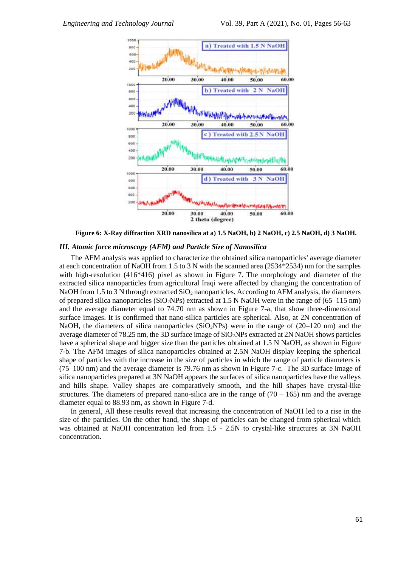

**Figure 6: X-Ray diffraction XRD nanosilica at a) 1.5 NaOH, b) 2 NaOH, c) 2.5 NaOH, d) 3 NaOH.**

#### *III. Atomic force microscopy (AFM) and Particle Size of Nanosilica*

The AFM analysis was applied to characterize the obtained silica nanoparticles' average diameter at each concentration of NaOH from 1.5 to 3 N with the scanned area (2534\*2534) nm for the samples with high-resolution (416\*416) pixel as shown in Figure 7. The morphology and diameter of the extracted silica nanoparticles from agricultural Iraqi were affected by changing the concentration of NaOH from 1.5 to 3 N through extracted  $SiO<sub>2</sub>$  nanoparticles. According to AFM analysis, the diameters of prepared silica nanoparticles ( $SiO<sub>2</sub>NPs$ ) extracted at 1.5 N NaOH were in the range of (65–115 nm) and the average diameter equal to 74.70 nm as shown in Figure 7-a, that show three-dimensional surface images. It is confirmed that nano-silica particles are spherical. Also, at 2N concentration of NaOH, the diameters of silica nanoparticles ( $SiO<sub>2</sub>NPs$ ) were in the range of (20–120 nm) and the average diameter of 78.25 nm, the 3D surface image of SiO2NPs extracted at 2N NaOH shows particles have a spherical shape and bigger size than the particles obtained at 1.5 N NaOH, as shown in Figure 7-b. The AFM images of silica nanoparticles obtained at 2.5N NaOH display keeping the spherical shape of particles with the increase in the size of particles in which the range of particle diameters is (75–100 nm) and the average diameter is 79.76 nm as shown in Figure 7-c. The 3D surface image of silica nanoparticles prepared at 3N NaOH appears the surfaces of silica nanoparticles have the valleys and hills shape. Valley shapes are comparatively smooth, and the hill shapes have crystal-like structures. The diameters of prepared nano-silica are in the range of  $(70 - 165)$  nm and the average diameter equal to 88.93 nm, as shown in Figure 7-d.

In general, All these results reveal that increasing the concentration of NaOH led to a rise in the size of the particles. On the other hand, the shape of particles can be changed from spherical which was obtained at NaOH concentration led from 1.5 - 2.5N to crystal-like structures at 3N NaOH concentration.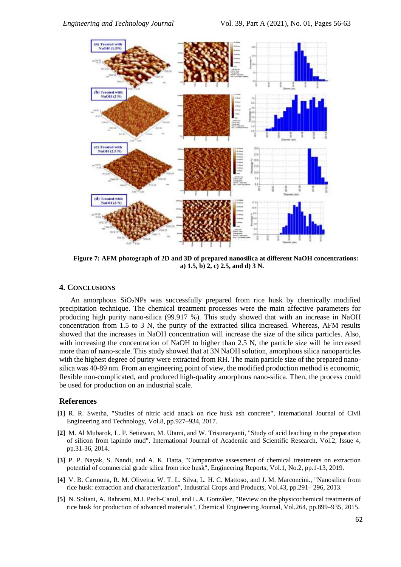

**Figure 7: AFM photograph of 2D and 3D of prepared nanosilica at different NaOH concentrations: a) 1.5, b) 2, c) 2.5, and d) 3 N.**

## **4. CONCLUSIONS**

An amorphous  $SiO<sub>2</sub>NPs$  was successfully prepared from rice husk by chemically modified precipitation technique. The chemical treatment processes were the main affective parameters for producing high purity nano-silica (99.917 %). This study showed that with an increase in NaOH concentration from 1.5 to 3 N, the purity of the extracted silica increased. Whereas, AFM results showed that the increases in NaOH concentration will increase the size of the silica particles. Also, with increasing the concentration of NaOH to higher than 2.5 N, the particle size will be increased more than of nano-scale. This study showed that at 3N NaOH solution, amorphous silica nanoparticles with the highest degree of purity were extracted from RH. The main particle size of the prepared nanosilica was 40-89 nm. From an engineering point of view, the modified production method is economic, flexible non-complicated, and produced high-quality amorphous nano-silica. Then, the process could be used for production on an industrial scale.

# **References**

- **[1]** R. R. Swetha, "Studies of nitric acid attack on rice husk ash concrete", International Journal of Civil Engineering and Technology, Vol.8, pp.927–934, 2017.
- **[2]** M. Al Mubarok, L. P. Setiawan, M. Utami, and W. Trisunaryanti, "Study of acid leaching in the preparation of silicon from lapindo mud", International Journal of Academic and Scientific Research, Vol.2, Issue 4, pp.31-36, 2014.
- **[3]** P. P. Nayak, S. Nandi, and A. K. Datta, "Comparative assessment of chemical treatments on extraction potential of commercial grade silica from rice husk", Engineering Reports, [Vol.1,](https://onlinelibrary.wiley.com/toc/25778196/2019/1/2) No.2, pp.1-13, 2019.
- **[4]** V. B. Carmona, R. M. Oliveira, W. T. L. Silva, L. H. C. Mattoso, and J. M. Marconcini., "Nanosilica from rice husk: extraction and characterization", Industrial Crops and Products, Vol.43, pp.291– 296, 2013.
- **[5]** N. Soltani, A. Bahrami, M.I. Pech-Canul, and L.A. González, "Review on the physicochemical treatments of rice husk for production of advanced materials", Chemical Engineering Journal, Vol.264, pp.899–935, 2015.